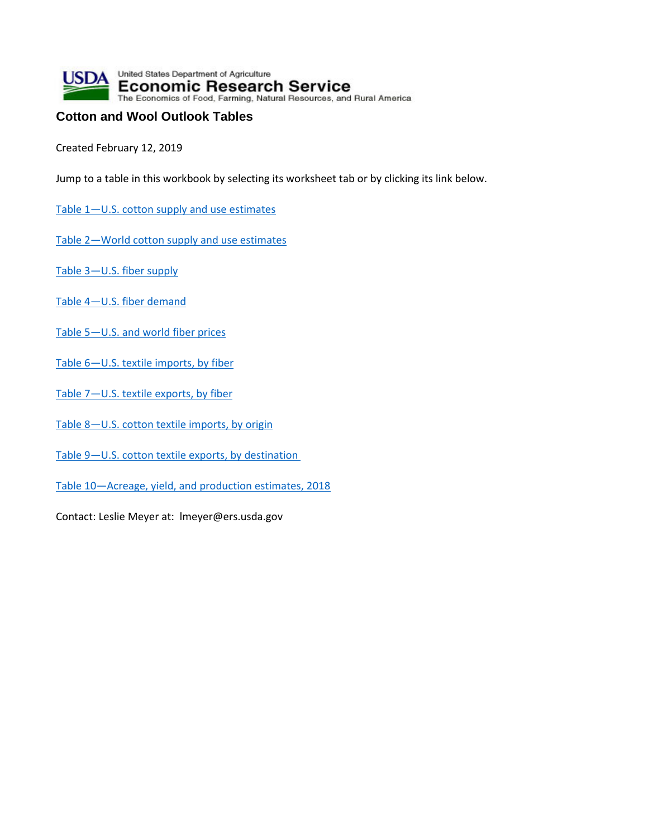

## **Cotton and Wool Outlook Tables**

Created February 12, 2019

Jump to a table in this workbook by selecting its worksheet tab or by clicking its link below.

- [Table 1—U.S. cotton supply and use estimates](#page-1-0)
- [Table 2—World cotton supply and use estimates](#page-2-0)
- [Table 3—U.S. fiber supply](#page-3-0)
- [Table 4—U.S. fiber demand](#page-4-0)
- [Table 5—U.S. and world fiber prices](#page-5-0)
- Table 6-U.S. textile imports, by fiber
- [Table 7—U.S. textile exports, by fiber](#page-7-0)
- [Table 8—U.S. cotton textile imports, by origin](#page-8-0)
- [Table 9—U.S. cotton textile exports, by destination](#page-9-0)
- [Table 10—Acreage, yield, and production estimates, 2018](#page-10-0)

Contact: Leslie Meyer at: lmeyer@ers.usda.gov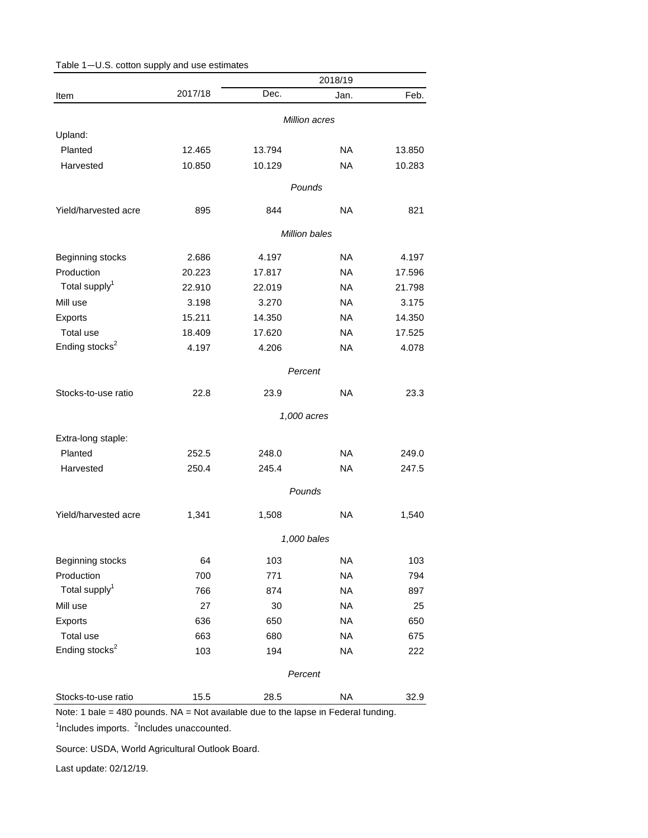|                            |               |                      | 2018/19   |        |  |
|----------------------------|---------------|----------------------|-----------|--------|--|
| Item                       | 2017/18       | Dec.                 | Jan.      | Feb.   |  |
|                            | Million acres |                      |           |        |  |
| Upland:                    |               |                      |           |        |  |
| Planted                    | 12.465        | 13.794               | <b>NA</b> | 13.850 |  |
| Harvested                  | 10.850        | 10.129               | <b>NA</b> | 10.283 |  |
|                            |               | Pounds               |           |        |  |
| Yield/harvested acre       | 895           | 844                  | <b>NA</b> | 821    |  |
|                            |               | <b>Million bales</b> |           |        |  |
| Beginning stocks           | 2.686         | 4.197                | <b>NA</b> | 4.197  |  |
| Production                 | 20.223        | 17.817               | <b>NA</b> | 17.596 |  |
| Total supply <sup>1</sup>  | 22.910        | 22.019               | <b>NA</b> | 21.798 |  |
| Mill use                   | 3.198         | 3.270                | <b>NA</b> | 3.175  |  |
| Exports                    | 15.211        | 14.350               | <b>NA</b> | 14.350 |  |
| Total use                  | 18.409        | 17.620               | <b>NA</b> | 17.525 |  |
| Ending stocks <sup>2</sup> | 4.197         | 4.206                | <b>NA</b> | 4.078  |  |
|                            |               | Percent              |           |        |  |
| Stocks-to-use ratio        | 22.8          | 23.9                 | <b>NA</b> | 23.3   |  |
|                            |               | 1,000 acres          |           |        |  |
| Extra-long staple:         |               |                      |           |        |  |
| Planted                    | 252.5         | 248.0                | <b>NA</b> | 249.0  |  |
| Harvested                  | 250.4         | 245.4                | <b>NA</b> | 247.5  |  |
|                            |               | Pounds               |           |        |  |
| Yield/harvested acre       | 1,341         | 1,508                | <b>NA</b> | 1,540  |  |
|                            | 1,000 bales   |                      |           |        |  |
| Beginning stocks           | 64            | 103                  | <b>NA</b> | 103    |  |
| Production                 | 700           | 771                  | <b>NA</b> | 794    |  |
| Total supply <sup>1</sup>  | 766           | 874                  | <b>NA</b> | 897    |  |
| Mill use                   | 27            | 30                   | <b>NA</b> | 25     |  |
| Exports                    | 636           | 650                  | <b>NA</b> | 650    |  |
| Total use                  | 663           | 680                  | <b>NA</b> | 675    |  |
| Ending stocks <sup>2</sup> | 103           | 194                  | <b>NA</b> | 222    |  |
|                            |               | Percent              |           |        |  |
| Stocks-to-use ratio        | 15.5          | 28.5                 | <b>NA</b> | 32.9   |  |

## <span id="page-1-0"></span>Table 1—U.S. cotton supply and use estimates

Note: 1 bale = 480 pounds. NA = Not available due to the lapse in Federal funding.

<sup>1</sup>Includes imports. <sup>2</sup>Includes unaccounted.

Source: USDA, World Agricultural Outlook Board.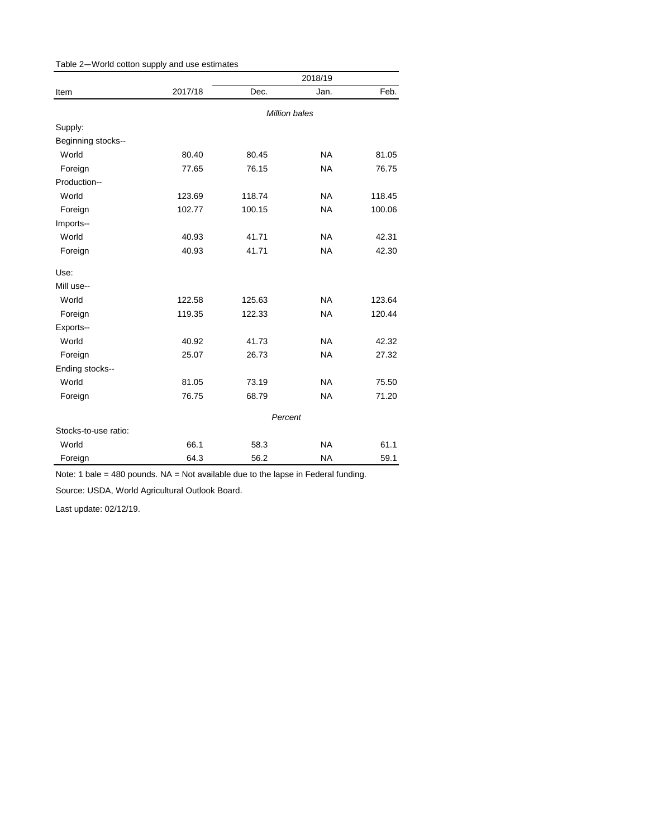<span id="page-2-0"></span>

|                      |               | 2018/19 |           |        |  |
|----------------------|---------------|---------|-----------|--------|--|
| Item                 | 2017/18       | Dec.    | Jan.      | Feb.   |  |
|                      | Million bales |         |           |        |  |
| Supply:              |               |         |           |        |  |
| Beginning stocks--   |               |         |           |        |  |
| World                | 80.40         | 80.45   | <b>NA</b> | 81.05  |  |
| Foreign              | 77.65         | 76.15   | <b>NA</b> | 76.75  |  |
| Production--         |               |         |           |        |  |
| World                | 123.69        | 118.74  | <b>NA</b> | 118.45 |  |
| Foreign              | 102.77        | 100.15  | <b>NA</b> | 100.06 |  |
| Imports--            |               |         |           |        |  |
| World                | 40.93         | 41.71   | <b>NA</b> | 42.31  |  |
| Foreign              | 40.93         | 41.71   | <b>NA</b> | 42.30  |  |
| Use:                 |               |         |           |        |  |
| Mill use--           |               |         |           |        |  |
| World                | 122.58        | 125.63  | <b>NA</b> | 123.64 |  |
| Foreign              | 119.35        | 122.33  | <b>NA</b> | 120.44 |  |
| Exports--            |               |         |           |        |  |
| World                | 40.92         | 41.73   | <b>NA</b> | 42.32  |  |
| Foreign              | 25.07         | 26.73   | <b>NA</b> | 27.32  |  |
| Ending stocks--      |               |         |           |        |  |
| World                | 81.05         | 73.19   | <b>NA</b> | 75.50  |  |
| Foreign              | 76.75         | 68.79   | <b>NA</b> | 71.20  |  |
|                      | Percent       |         |           |        |  |
| Stocks-to-use ratio: |               |         |           |        |  |
| World                | 66.1          | 58.3    | <b>NA</b> | 61.1   |  |
| Foreign              | 64.3          | 56.2    | <b>NA</b> | 59.1   |  |

Note: 1 bale = 480 pounds. NA = Not available due to the lapse in Federal funding.

Source: USDA, World Agricultural Outlook Board.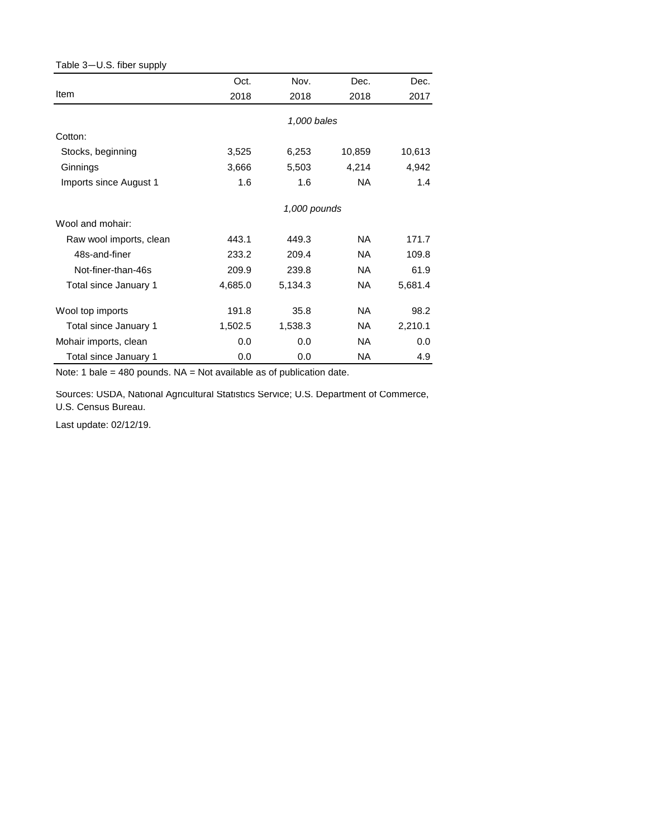## <span id="page-3-0"></span>Table 3—U.S. fiber supply

|                         | Oct.    | Nov.         | Dec.      | Dec.    |
|-------------------------|---------|--------------|-----------|---------|
| Item                    | 2018    | 2018         | 2018      | 2017    |
|                         |         | 1,000 bales  |           |         |
| Cotton:                 |         |              |           |         |
| Stocks, beginning       | 3,525   | 6,253        | 10,859    | 10,613  |
| Ginnings                | 3,666   | 5,503        | 4,214     | 4,942   |
| Imports since August 1  | 1.6     | 1.6          | NA.       | 1.4     |
|                         |         | 1,000 pounds |           |         |
| Wool and mohair:        |         |              |           |         |
| Raw wool imports, clean | 443.1   | 449.3        | NA.       | 171.7   |
| 48s-and-finer           | 233.2   | 209.4        | NA.       | 109.8   |
| Not-finer-than-46s      | 209.9   | 239.8        | NA.       | 61.9    |
| Total since January 1   | 4,685.0 | 5,134.3      | NA        | 5,681.4 |
| Wool top imports        | 191.8   | 35.8         | NA.       | 98.2    |
| Total since January 1   | 1,502.5 | 1,538.3      | NA        | 2,210.1 |
| Mohair imports, clean   | 0.0     | 0.0          | NA.       | 0.0     |
| Total since January 1   | 0.0     | 0.0          | <b>NA</b> | 4.9     |

Note: 1 bale = 480 pounds. NA = Not available as of publication date.

Sources: USDA, National Agricultural Statistics Service; U.S. Department of Commerce, U.S. Census Bureau.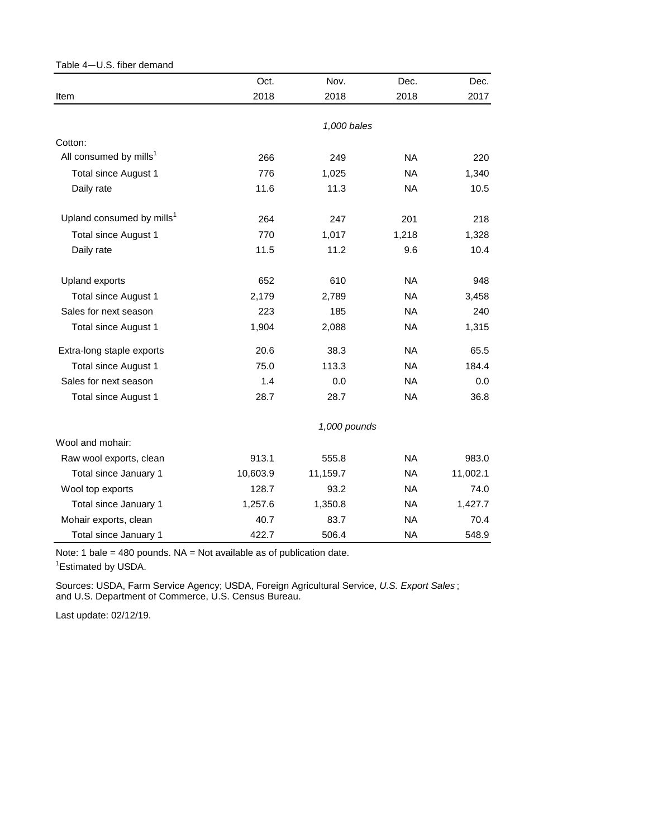<span id="page-4-0"></span>

| Table 4-U.S. fiber demand             |          |              |           |          |
|---------------------------------------|----------|--------------|-----------|----------|
|                                       | Oct.     | Nov.         | Dec.      | Dec.     |
| Item                                  | 2018     | 2018         | 2018      | 2017     |
|                                       |          | 1,000 bales  |           |          |
| Cotton:                               |          |              |           |          |
| All consumed by mills <sup>1</sup>    | 266      | 249          | <b>NA</b> | 220      |
| Total since August 1                  | 776      | 1,025        | <b>NA</b> | 1,340    |
| Daily rate                            | 11.6     | 11.3         | <b>NA</b> | 10.5     |
| Upland consumed by mills <sup>1</sup> | 264      | 247          | 201       | 218      |
| Total since August 1                  | 770      | 1,017        | 1,218     | 1,328    |
| Daily rate                            | 11.5     | 11.2         | 9.6       | 10.4     |
| Upland exports                        | 652      | 610          | <b>NA</b> | 948      |
| Total since August 1                  | 2,179    | 2,789        | <b>NA</b> | 3,458    |
| Sales for next season                 | 223      | 185          | <b>NA</b> | 240      |
| Total since August 1                  | 1,904    | 2,088        | <b>NA</b> | 1,315    |
| Extra-long staple exports             | 20.6     | 38.3         | <b>NA</b> | 65.5     |
| <b>Total since August 1</b>           | 75.0     | 113.3        | <b>NA</b> | 184.4    |
| Sales for next season                 | 1.4      | 0.0          | <b>NA</b> | 0.0      |
| Total since August 1                  | 28.7     | 28.7         | <b>NA</b> | 36.8     |
|                                       |          | 1,000 pounds |           |          |
| Wool and mohair:                      |          |              |           |          |
| Raw wool exports, clean               | 913.1    | 555.8        | <b>NA</b> | 983.0    |
| Total since January 1                 | 10,603.9 | 11,159.7     | <b>NA</b> | 11,002.1 |
| Wool top exports                      | 128.7    | 93.2         | <b>NA</b> | 74.0     |
| Total since January 1                 | 1,257.6  | 1,350.8      | <b>NA</b> | 1,427.7  |
| Mohair exports, clean                 | 40.7     | 83.7         | <b>NA</b> | 70.4     |
| Total since January 1                 | 422.7    | 506.4        | NA        | 548.9    |

Note: 1 bale = 480 pounds. NA = Not available as of publication date.

<sup>1</sup> Estimated by USDA.

and U.S. Department of Commerce, U.S. Census Bureau. Sources: USDA, Farm Service Agency; USDA, Foreign Agricultural Service, *U.S. Export Sales* ;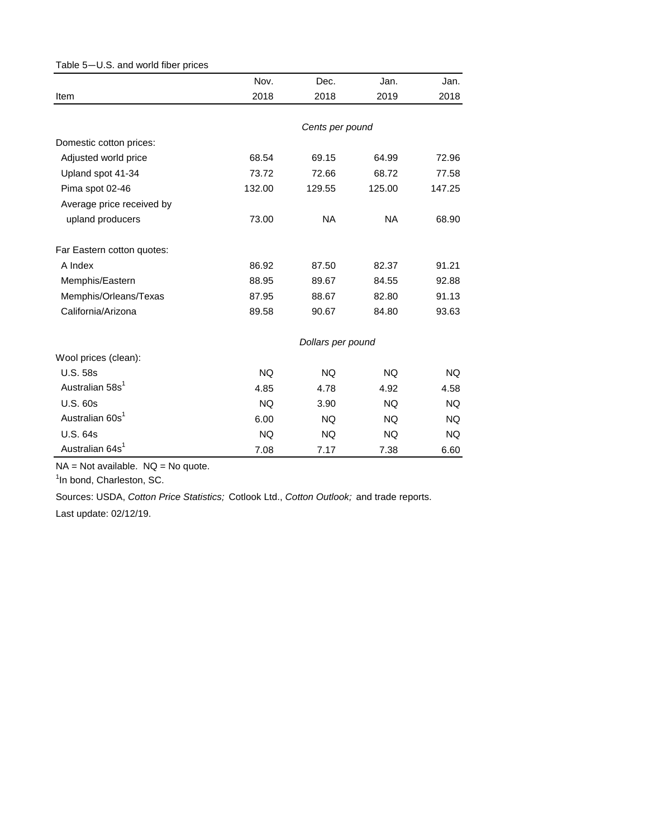<span id="page-5-0"></span>

| Table 5-U.S. and world fiber prices |           |                   |           |           |
|-------------------------------------|-----------|-------------------|-----------|-----------|
|                                     | Nov.      | Dec.              | Jan.      | Jan.      |
| Item                                | 2018      | 2018              | 2019      | 2018      |
|                                     |           |                   |           |           |
|                                     |           | Cents per pound   |           |           |
| Domestic cotton prices:             |           |                   |           |           |
| Adjusted world price                | 68.54     | 69.15             | 64.99     | 72.96     |
| Upland spot 41-34                   | 73.72     | 72.66             | 68.72     | 77.58     |
| Pima spot 02-46                     | 132.00    | 129.55            | 125.00    | 147.25    |
| Average price received by           |           |                   |           |           |
| upland producers                    | 73.00     | <b>NA</b>         | <b>NA</b> | 68.90     |
| Far Eastern cotton quotes:          |           |                   |           |           |
| A Index                             | 86.92     | 87.50             | 82.37     | 91.21     |
| Memphis/Eastern                     | 88.95     | 89.67             | 84.55     | 92.88     |
| Memphis/Orleans/Texas               | 87.95     | 88.67             | 82.80     | 91.13     |
| California/Arizona                  | 89.58     | 90.67             | 84.80     | 93.63     |
|                                     |           | Dollars per pound |           |           |
| Wool prices (clean):                |           |                   |           |           |
| <b>U.S. 58s</b>                     | <b>NQ</b> | <b>NQ</b>         | <b>NQ</b> | NQ.       |
| Australian 58s <sup>1</sup>         | 4.85      | 4.78              | 4.92      | 4.58      |
| <b>U.S. 60s</b>                     | <b>NQ</b> | 3.90              | <b>NQ</b> | <b>NQ</b> |
| Australian 60s <sup>1</sup>         | 6.00      | <b>NQ</b>         | <b>NQ</b> | <b>NQ</b> |
| <b>U.S. 64s</b>                     | <b>NQ</b> | NQ.               | NQ.       | NQ.       |
| Australian 64s <sup>1</sup>         | 7.08      | 7.17              | 7.38      | 6.60      |

 $NA = Not available.$   $NQ = No$  quote.

<sup>1</sup>In bond, Charleston, SC.

Sources: USDA, *Cotton Price Statistics;* Cotlook Ltd., *Cotton Outlook;* and trade reports.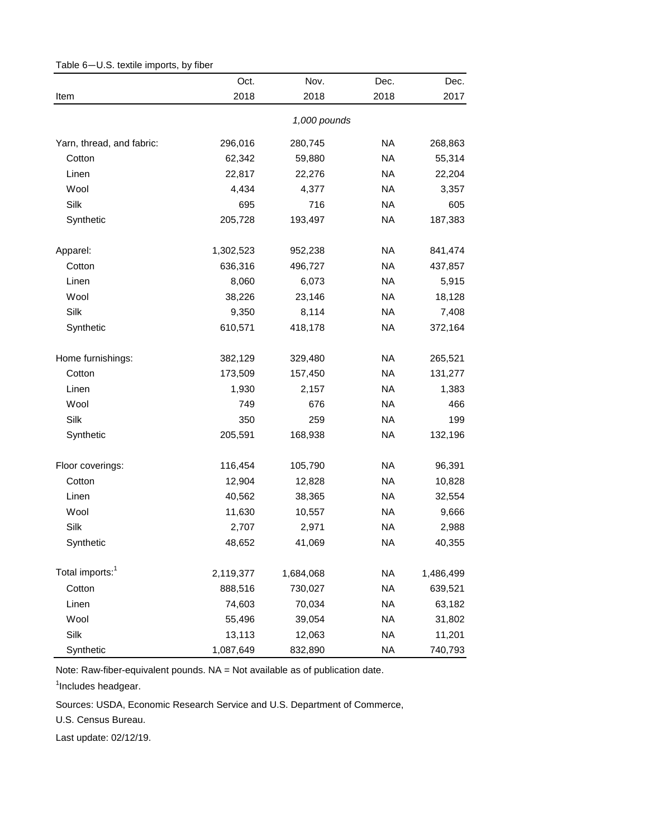|                             | Oct.      | Nov.         | Dec.      | Dec.      |
|-----------------------------|-----------|--------------|-----------|-----------|
| Item                        | 2018      | 2018         | 2018      | 2017      |
|                             |           | 1,000 pounds |           |           |
| Yarn, thread, and fabric:   | 296,016   | 280,745      | <b>NA</b> | 268,863   |
| Cotton                      | 62,342    | 59,880       | <b>NA</b> | 55,314    |
| Linen                       | 22,817    | 22,276       | <b>NA</b> | 22,204    |
| Wool                        | 4,434     | 4,377        | <b>NA</b> | 3,357     |
| Silk                        | 695       | 716          | <b>NA</b> | 605       |
| Synthetic                   | 205,728   | 193,497      | <b>NA</b> | 187,383   |
| Apparel:                    | 1,302,523 | 952,238      | <b>NA</b> | 841,474   |
| Cotton                      | 636,316   | 496,727      | <b>NA</b> | 437,857   |
| Linen                       | 8,060     | 6,073        | <b>NA</b> | 5,915     |
| Wool                        | 38,226    | 23,146       | <b>NA</b> | 18,128    |
| Silk                        | 9,350     | 8,114        | <b>NA</b> | 7,408     |
| Synthetic                   | 610,571   | 418,178      | <b>NA</b> | 372,164   |
| Home furnishings:           | 382,129   | 329,480      | <b>NA</b> | 265,521   |
| Cotton                      | 173,509   | 157,450      | <b>NA</b> | 131,277   |
| Linen                       | 1,930     | 2,157        | <b>NA</b> | 1,383     |
| Wool                        | 749       | 676          | <b>NA</b> | 466       |
| Silk                        | 350       | 259          | <b>NA</b> | 199       |
| Synthetic                   | 205,591   | 168,938      | <b>NA</b> | 132,196   |
| Floor coverings:            | 116,454   | 105,790      | <b>NA</b> | 96,391    |
| Cotton                      | 12,904    | 12,828       | <b>NA</b> | 10,828    |
| Linen                       | 40,562    | 38,365       | <b>NA</b> | 32,554    |
| Wool                        | 11,630    | 10,557       | <b>NA</b> | 9,666     |
| Silk                        | 2,707     | 2,971        | <b>NA</b> | 2,988     |
| Synthetic                   | 48,652    | 41,069       | <b>NA</b> | 40,355    |
| Total imports: <sup>1</sup> | 2,119,377 | 1,684,068    | <b>NA</b> | 1,486,499 |
| Cotton                      | 888,516   | 730,027      | <b>NA</b> | 639,521   |
| Linen                       | 74,603    | 70,034       | <b>NA</b> | 63,182    |
| Wool                        | 55,496    | 39,054       | <b>NA</b> | 31,802    |
| Silk                        | 13,113    | 12,063       | <b>NA</b> | 11,201    |
| Synthetic                   | 1,087,649 | 832,890      | <b>NA</b> | 740,793   |

<span id="page-6-0"></span>Table 6—U.S. textile imports, by fiber

<sup>1</sup>Includes headgear.

Sources: USDA, Economic Research Service and U.S. Department of Commerce,

U.S. Census Bureau.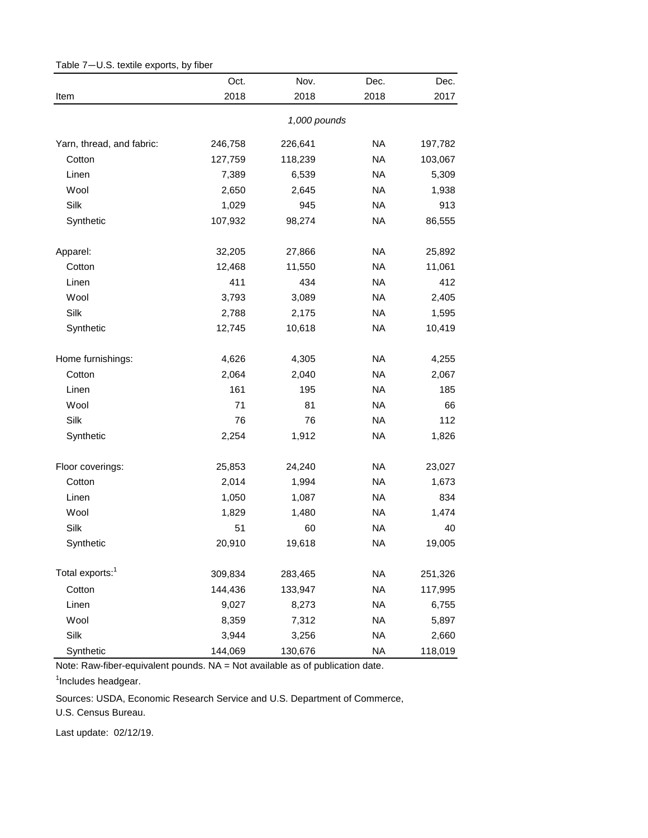<span id="page-7-0"></span>

|                             | Oct.    | Nov.         | Dec.      | Dec.    |
|-----------------------------|---------|--------------|-----------|---------|
| Item                        | 2018    | 2018         | 2018      | 2017    |
|                             |         | 1,000 pounds |           |         |
| Yarn, thread, and fabric:   | 246,758 | 226,641      | <b>NA</b> | 197,782 |
| Cotton                      | 127,759 | 118,239      | <b>NA</b> | 103,067 |
| Linen                       | 7,389   | 6,539        | <b>NA</b> | 5,309   |
| Wool                        | 2,650   | 2,645        | <b>NA</b> | 1,938   |
| Silk                        | 1,029   | 945          | <b>NA</b> | 913     |
| Synthetic                   | 107,932 | 98,274       | <b>NA</b> | 86,555  |
| Apparel:                    | 32,205  | 27,866       | <b>NA</b> | 25,892  |
| Cotton                      | 12,468  | 11,550       | <b>NA</b> | 11,061  |
| Linen                       | 411     | 434          | <b>NA</b> | 412     |
| Wool                        | 3,793   | 3,089        | <b>NA</b> | 2,405   |
| Silk                        | 2,788   | 2,175        | <b>NA</b> | 1,595   |
| Synthetic                   | 12,745  | 10,618       | <b>NA</b> | 10,419  |
| Home furnishings:           | 4,626   | 4,305        | <b>NA</b> | 4,255   |
| Cotton                      | 2,064   | 2,040        | <b>NA</b> | 2,067   |
| Linen                       | 161     | 195          | <b>NA</b> | 185     |
| Wool                        | 71      | 81           | <b>NA</b> | 66      |
| Silk                        | 76      | 76           | <b>NA</b> | 112     |
| Synthetic                   | 2,254   | 1,912        | <b>NA</b> | 1,826   |
| Floor coverings:            | 25,853  | 24,240       | <b>NA</b> | 23,027  |
| Cotton                      | 2,014   | 1,994        | <b>NA</b> | 1,673   |
| Linen                       | 1,050   | 1,087        | <b>NA</b> | 834     |
| Wool                        | 1,829   | 1,480        | <b>NA</b> | 1,474   |
| Silk                        | 51      | 60           | <b>NA</b> | 40      |
| Synthetic                   | 20,910  | 19,618       | <b>NA</b> | 19,005  |
| Total exports: <sup>1</sup> | 309,834 | 283,465      | <b>NA</b> | 251,326 |
| Cotton                      | 144,436 | 133,947      | <b>NA</b> | 117,995 |
| Linen                       | 9,027   | 8,273        | <b>NA</b> | 6,755   |
| Wool                        | 8,359   | 7,312        | <b>NA</b> | 5,897   |
| Silk                        | 3,944   | 3,256        | <b>NA</b> | 2,660   |
| Synthetic                   | 144,069 | 130,676      | <b>NA</b> | 118,019 |

Table 7—U.S. textile exports, by fiber

<sup>1</sup>Includes headgear.

Sources: USDA, Economic Research Service and U.S. Department of Commerce,

U.S. Census Bureau.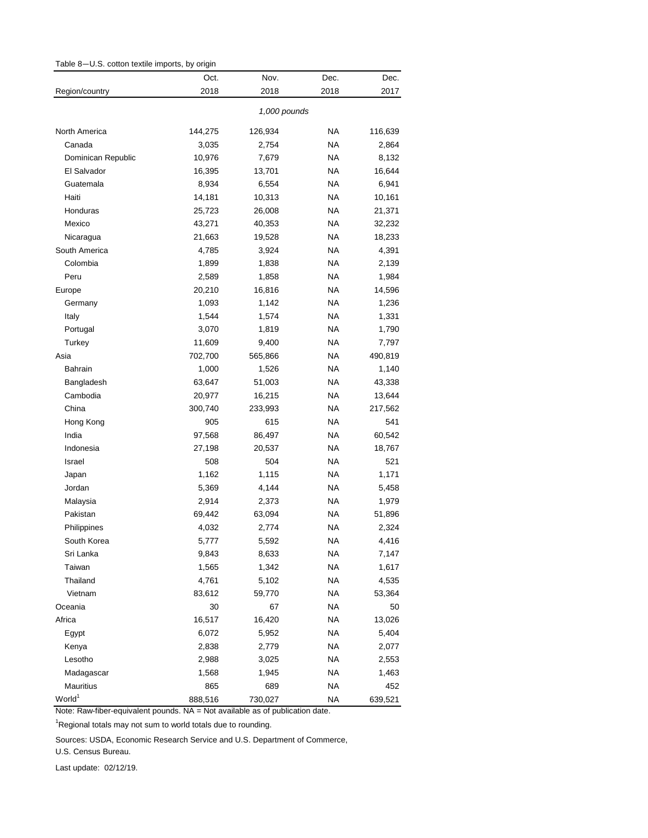<span id="page-8-0"></span>

| Table 8-U.S. cotton textile imports, by origin |              |         |           |         |  |
|------------------------------------------------|--------------|---------|-----------|---------|--|
|                                                | Oct.         | Nov.    | Dec.      | Dec.    |  |
| Region/country                                 | 2018         | 2018    | 2018      | 2017    |  |
|                                                | 1,000 pounds |         |           |         |  |
| North America                                  | 144,275      | 126,934 | <b>NA</b> | 116,639 |  |
| Canada                                         | 3,035        | 2,754   | <b>NA</b> | 2,864   |  |
| Dominican Republic                             | 10,976       | 7,679   | NA        | 8,132   |  |
| El Salvador                                    | 16,395       | 13,701  | <b>NA</b> | 16,644  |  |
| Guatemala                                      | 8,934        | 6,554   | <b>NA</b> | 6,941   |  |
| Haiti                                          | 14,181       | 10,313  | NA        | 10,161  |  |
| Honduras                                       | 25,723       | 26,008  | NA.       | 21,371  |  |
| Mexico                                         | 43,271       | 40,353  | NA.       | 32,232  |  |
| Nicaragua                                      | 21,663       | 19,528  | NA        | 18,233  |  |
| South America                                  | 4,785        | 3,924   | NA        | 4,391   |  |
| Colombia                                       | 1,899        | 1,838   | NA        | 2,139   |  |
| Peru                                           | 2,589        | 1,858   | NA        | 1,984   |  |
| Europe                                         | 20,210       | 16,816  | NA        | 14,596  |  |
| Germany                                        | 1,093        | 1,142   | NA        | 1,236   |  |
| Italy                                          | 1,544        | 1,574   | NA        | 1,331   |  |
| Portugal                                       | 3,070        | 1,819   | NA        | 1,790   |  |
| Turkey                                         | 11,609       | 9,400   | NA        | 7,797   |  |
| Asia                                           | 702,700      | 565,866 | NA        | 490,819 |  |
| Bahrain                                        | 1,000        | 1,526   | NA        | 1,140   |  |
| Bangladesh                                     | 63,647       | 51,003  | <b>NA</b> | 43,338  |  |
| Cambodia                                       | 20,977       | 16,215  | NA.       | 13,644  |  |
| China                                          | 300,740      | 233,993 | NA        | 217,562 |  |
| Hong Kong                                      | 905          | 615     | <b>NA</b> | 541     |  |
| India                                          | 97,568       | 86,497  | <b>NA</b> | 60,542  |  |
| Indonesia                                      | 27,198       | 20,537  | NA        | 18,767  |  |
| Israel                                         | 508          | 504     | <b>NA</b> | 521     |  |
| Japan                                          | 1,162        | 1,115   | NA        | 1,171   |  |
| Jordan                                         | 5,369        | 4,144   | NA        | 5,458   |  |
| Malaysia                                       | 2,914        | 2,373   | NA.       | 1,979   |  |
| Pakistan                                       | 69,442       | 63,094  | ΝA        | 51,896  |  |
| Philippines                                    | 4,032        | 2,774   | ΝA        | 2,324   |  |
| South Korea                                    | 5,777        | 5,592   | NA        | 4,416   |  |
| Sri Lanka                                      | 9,843        | 8,633   | <b>NA</b> | 7,147   |  |
| Taiwan                                         | 1,565        | 1,342   | NA        | 1,617   |  |
| Thailand                                       | 4,761        | 5,102   | NA        | 4,535   |  |
| Vietnam                                        | 83,612       | 59,770  | NA        | 53,364  |  |
| Oceania                                        | 30           | 67      | <b>NA</b> | 50      |  |
| Africa                                         | 16,517       | 16,420  | <b>NA</b> | 13,026  |  |
| Egypt                                          | 6,072        | 5,952   | <b>NA</b> | 5,404   |  |
| Kenya                                          | 2,838        | 2,779   | <b>NA</b> | 2,077   |  |
| Lesotho                                        | 2,988        | 3,025   | <b>NA</b> | 2,553   |  |
| Madagascar                                     | 1,568        | 1,945   | <b>NA</b> | 1,463   |  |
| Mauritius                                      | 865          | 689     | NA        | 452     |  |
| World <sup>1</sup>                             | 888,516      | 730,027 | <b>NA</b> | 639,521 |  |

<sup>1</sup>Regional totals may not sum to world totals due to rounding.

Sources: USDA, Economic Research Service and U.S. Department of Commerce,

U.S. Census Bureau.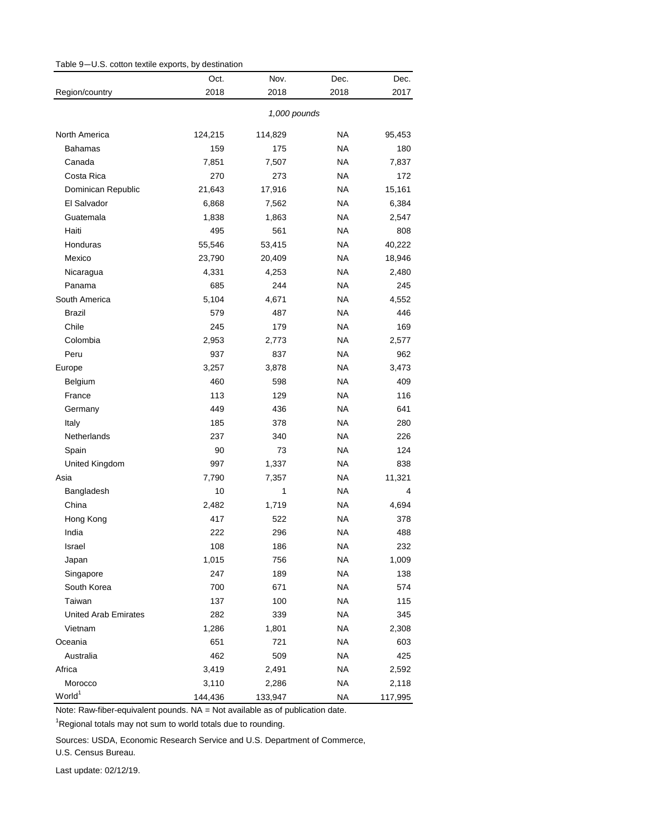<span id="page-9-0"></span>

| Table 9-U.S. cotton textile exports, by destination |  |
|-----------------------------------------------------|--|
|-----------------------------------------------------|--|

|                             | Oct.    | Nov.         | Dec.      | Dec.    |
|-----------------------------|---------|--------------|-----------|---------|
| Region/country              | 2018    | 2018         | 2018      | 2017    |
|                             |         | 1,000 pounds |           |         |
| North America               | 124,215 | 114,829      | NA        | 95,453  |
| Bahamas                     | 159     | 175          | ΝA        | 180     |
| Canada                      | 7,851   | 7,507        | NA        | 7,837   |
| Costa Rica                  | 270     | 273          | ΝA        | 172     |
| Dominican Republic          | 21,643  | 17,916       | NA        | 15,161  |
| El Salvador                 | 6,868   | 7,562        | NA        | 6,384   |
| Guatemala                   | 1,838   | 1,863        | NA        | 2,547   |
| Haiti                       | 495     | 561          | NA        | 808     |
| Honduras                    | 55,546  | 53,415       | NA        | 40,222  |
| Mexico                      | 23,790  | 20,409       | ΝA        | 18,946  |
| Nicaragua                   | 4,331   | 4,253        | NA        | 2,480   |
| Panama                      | 685     | 244          | NA        | 245     |
| South America               | 5,104   | 4,671        | NA        | 4,552   |
| <b>Brazil</b>               | 579     | 487          | NA        | 446     |
| Chile                       | 245     | 179          | NA        | 169     |
| Colombia                    | 2,953   | 2,773        | NA        | 2,577   |
| Peru                        | 937     | 837          | <b>NA</b> | 962     |
| Europe                      | 3,257   | 3,878        | NA        | 3,473   |
| Belgium                     | 460     | 598          | NA        | 409     |
| France                      | 113     | 129          | NA        | 116     |
| Germany                     | 449     | 436          | NA        | 641     |
| Italy                       | 185     | 378          | NA        | 280     |
| Netherlands                 | 237     | 340          | NA        | 226     |
| Spain                       | 90      | 73           | NA        | 124     |
| United Kingdom              | 997     | 1,337        | NA        | 838     |
| Asia                        | 7,790   | 7,357        | NA        | 11,321  |
| Bangladesh                  | 10      | 1            | NA        | 4       |
| China                       | 2,482   | 1,719        | NA        | 4,694   |
| Hong Kong                   | 417     | 522          | NA        | 378     |
| India                       | 222     | 296          | ΝA        | 488     |
| Israel                      | 108     | 186          | <b>NA</b> | 232     |
| Japan                       | 1,015   | 756          | ΝA        | 1,009   |
| Singapore                   | 247     | 189          | <b>NA</b> | 138     |
| South Korea                 | 700     | 671          | <b>NA</b> | 574     |
| Taiwan                      | 137     | 100          | ΝA        | 115     |
| <b>United Arab Emirates</b> | 282     | 339          | <b>NA</b> | 345     |
| Vietnam                     | 1,286   | 1,801        | <b>NA</b> | 2,308   |
| Oceania                     | 651     | 721          | <b>NA</b> | 603     |
| Australia                   | 462     | 509          | <b>NA</b> | 425     |
| Africa                      | 3,419   | 2,491        | <b>NA</b> | 2,592   |
| Morocco                     | 3,110   | 2,286        | <b>NA</b> | 2,118   |
| World <sup>1</sup>          | 144,436 | 133,947      | <b>NA</b> | 117,995 |

<sup>1</sup>Regional totals may not sum to world totals due to rounding.

Sources: USDA, Economic Research Service and U.S. Department of Commerce,

U.S. Census Bureau.